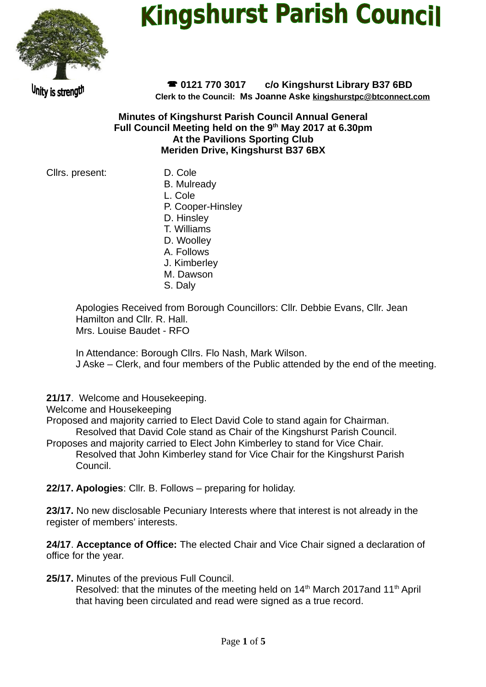

# **Kingshurst Parish Council**

Unity is strength

 **0121 770 3017 c/o Kingshurst Library B37 6BD Clerk to the Council: Ms Joanne Aske [kingshurstpc@btconnect.com](mailto:kingshurstpc@btconnect.com)**

**Minutes of Kingshurst Parish Council Annual General Full Council Meeting held on the 9th May 2017 at 6.30pm At the Pavilions Sporting Club Meriden Drive, Kingshurst B37 6BX**

Cllrs. present: D. Cole

B. Mulready L. Cole P. Cooper-Hinsley D. Hinsley T. Williams D. Woolley A. Follows J. Kimberley M. Dawson S. Daly

Apologies Received from Borough Councillors: Cllr. Debbie Evans, Cllr. Jean Hamilton and Cllr. R. Hall. Mrs. Louise Baudet - RFO

In Attendance: Borough Cllrs. Flo Nash, Mark Wilson. J Aske – Clerk, and four members of the Public attended by the end of the meeting.

**21/17**. Welcome and Housekeeping.

Welcome and Housekeeping

Proposed and majority carried to Elect David Cole to stand again for Chairman. Resolved that David Cole stand as Chair of the Kingshurst Parish Council.

Proposes and majority carried to Elect John Kimberley to stand for Vice Chair. Resolved that John Kimberley stand for Vice Chair for the Kingshurst Parish Council.

**22/17. Apologies**: Cllr. B. Follows – preparing for holiday.

**23/17.** No new disclosable Pecuniary Interests where that interest is not already in the register of members' interests.

**24/17**. **Acceptance of Office:** The elected Chair and Vice Chair signed a declaration of office for the year.

**25/17.** Minutes of the previous Full Council.

Resolved: that the minutes of the meeting held on  $14<sup>th</sup>$  March 2017and  $11<sup>th</sup>$  April that having been circulated and read were signed as a true record.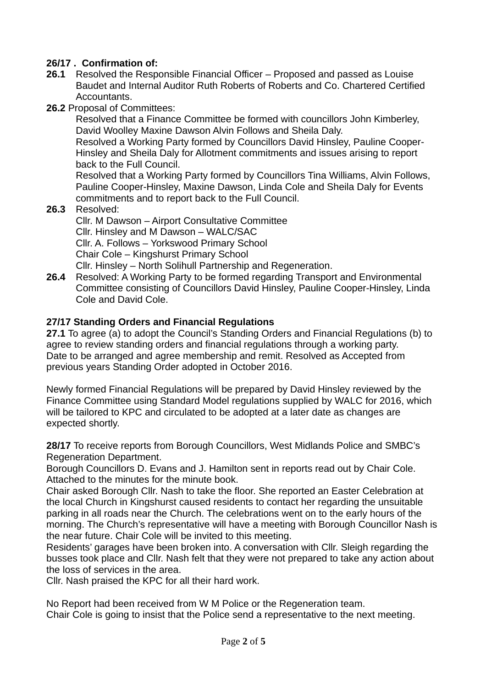## **26/17 . Confirmation of:**

- **26.1** Resolved the Responsible Financial Officer Proposed and passed as Louise Baudet and Internal Auditor Ruth Roberts of Roberts and Co. Chartered Certified Accountants.
- **26.2** Proposal of Committees:

Resolved that a Finance Committee be formed with councillors John Kimberley, David Woolley Maxine Dawson Alvin Follows and Sheila Daly.

Resolved a Working Party formed by Councillors David Hinsley, Pauline Cooper-Hinsley and Sheila Daly for Allotment commitments and issues arising to report back to the Full Council.

Resolved that a Working Party formed by Councillors Tina Williams, Alvin Follows, Pauline Cooper-Hinsley, Maxine Dawson, Linda Cole and Sheila Daly for Events commitments and to report back to the Full Council.

**26.3** Resolved:

Cllr. M Dawson – Airport Consultative Committee Cllr. Hinsley and M Dawson – WALC/SAC Cllr. A. Follows – Yorkswood Primary School Chair Cole – Kingshurst Primary School Cllr. Hinsley – North Solihull Partnership and Regeneration.

**26.4** Resolved: A Working Party to be formed regarding Transport and Environmental Committee consisting of Councillors David Hinsley, Pauline Cooper-Hinsley, Linda Cole and David Cole.

#### **27/17 Standing Orders and Financial Regulations**

**27.1** To agree (a) to adopt the Council's Standing Orders and Financial Regulations (b) to agree to review standing orders and financial regulations through a working party. Date to be arranged and agree membership and remit. Resolved as Accepted from previous years Standing Order adopted in October 2016.

Newly formed Financial Regulations will be prepared by David Hinsley reviewed by the Finance Committee using Standard Model regulations supplied by WALC for 2016, which will be tailored to KPC and circulated to be adopted at a later date as changes are expected shortly.

**28/17** To receive reports from Borough Councillors, West Midlands Police and SMBC's Regeneration Department.

Borough Councillors D. Evans and J. Hamilton sent in reports read out by Chair Cole. Attached to the minutes for the minute book.

Chair asked Borough Cllr. Nash to take the floor. She reported an Easter Celebration at the local Church in Kingshurst caused residents to contact her regarding the unsuitable parking in all roads near the Church. The celebrations went on to the early hours of the morning. The Church's representative will have a meeting with Borough Councillor Nash is the near future. Chair Cole will be invited to this meeting.

Residents' garages have been broken into. A conversation with Cllr. Sleigh regarding the busses took place and Cllr. Nash felt that they were not prepared to take any action about the loss of services in the area.

Cllr. Nash praised the KPC for all their hard work.

No Report had been received from W M Police or the Regeneration team. Chair Cole is going to insist that the Police send a representative to the next meeting.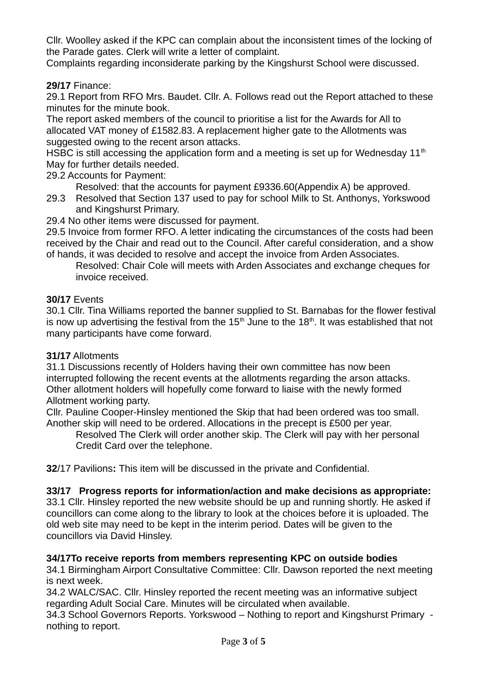Cllr. Woolley asked if the KPC can complain about the inconsistent times of the locking of the Parade gates. Clerk will write a letter of complaint.

Complaints regarding inconsiderate parking by the Kingshurst School were discussed.

**29/17** Finance:

29.1 Report from RFO Mrs. Baudet. Cllr. A. Follows read out the Report attached to these minutes for the minute book.

The report asked members of the council to prioritise a list for the Awards for All to allocated VAT money of £1582.83. A replacement higher gate to the Allotments was suggested owing to the recent arson attacks.

HSBC is still accessing the application form and a meeting is set up for Wednesday  $11<sup>th</sup>$ May for further details needed.

29.2 Accounts for Payment:

Resolved: that the accounts for payment £9336.60(Appendix A) be approved.

- 29.3 Resolved that Section 137 used to pay for school Milk to St. Anthonys, Yorkswood and Kingshurst Primary.
- 29.4 No other items were discussed for payment.

29.5 Invoice from former RFO. A letter indicating the circumstances of the costs had been received by the Chair and read out to the Council. After careful consideration, and a show of hands, it was decided to resolve and accept the invoice from Arden Associates.

Resolved: Chair Cole will meets with Arden Associates and exchange cheques for invoice received.

## **30/17** Events

30.1 Cllr. Tina Williams reported the banner supplied to St. Barnabas for the flower festival is now up advertising the festival from the  $15<sup>th</sup>$  June to the  $18<sup>th</sup>$ . It was established that not many participants have come forward.

#### **31/17** Allotments

31.1 Discussions recently of Holders having their own committee has now been interrupted following the recent events at the allotments regarding the arson attacks. Other allotment holders will hopefully come forward to liaise with the newly formed Allotment working party.

Cllr. Pauline Cooper-Hinsley mentioned the Skip that had been ordered was too small. Another skip will need to be ordered. Allocations in the precept is £500 per year.

Resolved The Clerk will order another skip. The Clerk will pay with her personal Credit Card over the telephone.

**32**/17 Pavilions**:** This item will be discussed in the private and Confidential.

# **33/17 Progress reports for information/action and make decisions as appropriate:**

33.1 Cllr. Hinsley reported the new website should be up and running shortly. He asked if councillors can come along to the library to look at the choices before it is uploaded. The old web site may need to be kept in the interim period. Dates will be given to the councillors via David Hinsley.

#### **34/17To receive reports from members representing KPC on outside bodies**

34.1 Birmingham Airport Consultative Committee: Cllr. Dawson reported the next meeting is next week.

34.2 WALC/SAC. Cllr. Hinsley reported the recent meeting was an informative subject regarding Adult Social Care. Minutes will be circulated when available.

34.3 School Governors Reports. Yorkswood – Nothing to report and Kingshurst Primary nothing to report.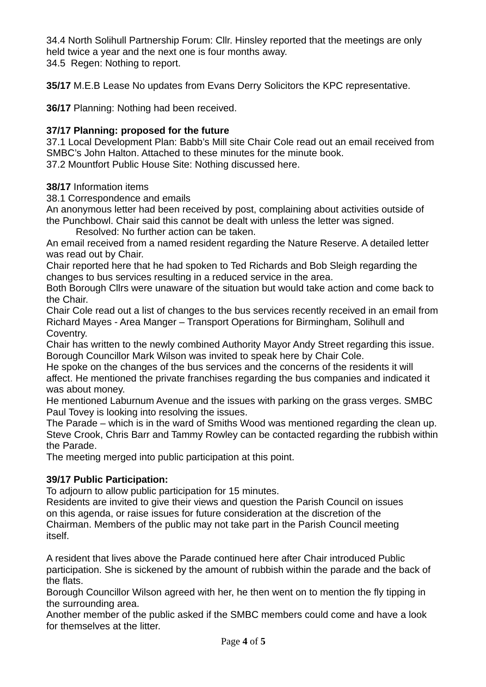34.4 North Solihull Partnership Forum: Cllr. Hinsley reported that the meetings are only held twice a year and the next one is four months away.

34.5 Regen: Nothing to report.

**35/17** M.E.B Lease No updates from Evans Derry Solicitors the KPC representative.

**36/17** Planning: Nothing had been received.

## **37/17 Planning: proposed for the future**

37.1 Local Development Plan: Babb's Mill site Chair Cole read out an email received from SMBC's John Halton. Attached to these minutes for the minute book. 37.2 Mountfort Public House Site: Nothing discussed here.

## **38/17** Information items

38.1 Correspondence and emails

An anonymous letter had been received by post, complaining about activities outside of the Punchbowl. Chair said this cannot be dealt with unless the letter was signed.

Resolved: No further action can be taken.

An email received from a named resident regarding the Nature Reserve. A detailed letter was read out by Chair.

Chair reported here that he had spoken to Ted Richards and Bob Sleigh regarding the changes to bus services resulting in a reduced service in the area.

Both Borough Cllrs were unaware of the situation but would take action and come back to the Chair.

Chair Cole read out a list of changes to the bus services recently received in an email from Richard Mayes - Area Manger – Transport Operations for Birmingham, Solihull and Coventry.

Chair has written to the newly combined Authority Mayor Andy Street regarding this issue. Borough Councillor Mark Wilson was invited to speak here by Chair Cole.

He spoke on the changes of the bus services and the concerns of the residents it will affect. He mentioned the private franchises regarding the bus companies and indicated it was about money.

He mentioned Laburnum Avenue and the issues with parking on the grass verges. SMBC Paul Tovey is looking into resolving the issues.

The Parade – which is in the ward of Smiths Wood was mentioned regarding the clean up. Steve Crook, Chris Barr and Tammy Rowley can be contacted regarding the rubbish within the Parade.

The meeting merged into public participation at this point.

# **39/17 Public Participation:**

To adjourn to allow public participation for 15 minutes.

Residents are invited to give their views and question the Parish Council on issues on this agenda, or raise issues for future consideration at the discretion of the Chairman. Members of the public may not take part in the Parish Council meeting itself.

A resident that lives above the Parade continued here after Chair introduced Public participation. She is sickened by the amount of rubbish within the parade and the back of the flats.

Borough Councillor Wilson agreed with her, he then went on to mention the fly tipping in the surrounding area.

Another member of the public asked if the SMBC members could come and have a look for themselves at the litter.